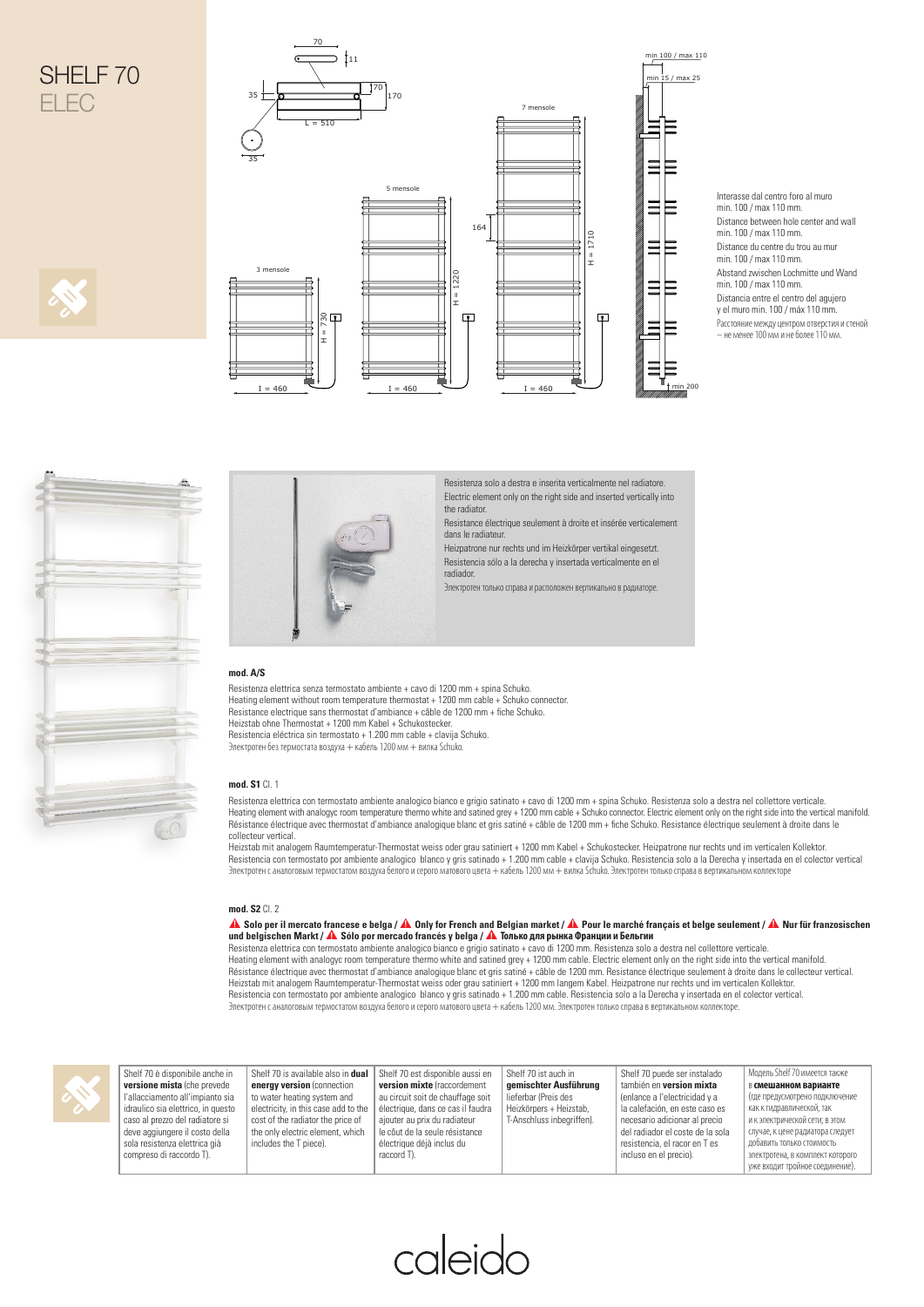



Interasse dal centro foro al muro min. 100 / max 110 mm. Distance between hole center and wall min. 100 / max 110 mm. Distance du centre du trou au mur min. 100 / max 110 mm. Abstand zwischen Lochmitte und Wand min. 100 / max 110 mm. Distancia entre el centro del agujero y el muro min. 100 / máx 110 mm. .<br>Расстояние между центром отверстия и стеной – не менее 100 мм и не более 110 мм.





Resistenza solo a destra e inserita verticalmente nel radiatore. Electric element only on the right side and inserted vertically into the radiator.

Resistance électrique seulement à droite et insérée verticalement dans le radiateur.

Heizpatrone nur rechts und im Heizkörper vertikal eingesetzt. Resistencia sólo a la derecha y insertada verticalmente en el radiador.

Электротен только справа и расположен вертикально в радиаторе.

## **mod. A/S**

Resistenza elettrica senza termostato ambiente + cavo di 1200 mm + spina Schuko. Heating element without room temperature thermostat + 1200 mm cable + Schuko connector. Resistance electrique sans thermostat d'ambiance + câble de 1200 mm + fiche Schuko.<br>Heizstab ohne Thermostat + 1200 mm Kabel + Schukostecker. Resistencia eléctrica sin termostato + 1.200 mm cable + clavija Schuko. Электротен без термостата воздуха + кабель 1200 мм + вилка Schuko.

## **mod. S1** Cl. 1

Resistenza elettrica con termostato ambiente analogico bianco e grigio satinato + cavo di 1200 mm + spina Schuko. Resistenza solo a destra nel collettore verticale. Heating element with analogyc room temperature thermo white and satined grey + 1200 mm cable + Schuko connector. Electric element only on the right side into the vertical manifold<br>Résistance électrique avec thermostat d'am collecteur vertical.

Heizstab mit analogem Raumtemperatur-Thermostat weiss oder grau satiniert + 1200 mm Kabel + Schukostecker. Heizpatrone nur rechts und im verticalen Kollektor.<br>Resistencia con termostato por ambiente analogico blanco y gris Электротен с аналоговым термостатом воздуха белого и серого матового цвета + кабель 1200 мм + вилка Schuko. Электротен только справа в вертикальном коллекторе

## **mod. S2** Cl. 2

▲**! Solo per il mercato francese e belga /** ▲**! Only for French and Belgian market /** ▲**! Pour le marché français et belge seulement /** ▲**! Nur für franzosischen** 

und belgischen Markt / A Sólo por mercado francés y belga / А Только для рынка Франции и Бельгии<br>Hesistenza elettrica con termostato ambiente analogico bianco e grigio satinato + cavo di 1200 mm. Resistenza solo a destra Heizstab mit analogem Raumtemperatur-Thermostat weiss oder grau satiniert + 1200 mm langem Kabel. Heizpatrone nur rechts und im verticalen Kollektor.<br>Resistencia con termostato por ambiente analogico blanco y gris satinad



| Shelf 70 è disponibile anche in    |
|------------------------------------|
| versione mista (che prevede        |
| l'allacciamento all'impianto sia   |
| idraulico sia elettrico, in questo |
| caso al prezzo del radiatore si    |
| deve aggiungere il costo della     |
| sola resistenza elettrica già      |
| compreso di raccordo T).           |
|                                    |

| bile anche in  | Shelf 70 is available also in dual   | Shelf 70 est disponible aussi en  | Shelf 70 ist auch in      | Shelf 70 puede ser instalado     | Модель Shelf 70 имеется также     |
|----------------|--------------------------------------|-----------------------------------|---------------------------|----------------------------------|-----------------------------------|
| che prevede    | eneray version (connection           | version mixte (raccordement       | gemischter Ausführung     | también en version mixta         | <b>В смешанном варианте</b>       |
| l'impianto sia | to water heating system and          | au circuit soit de chauffage soit | lieferbar (Preis des      | (enlance a l'electricidad y a    | (где предусмотрено подключение    |
| ico, in questo | electricity, in this case add to the | électrique, dans ce cas il faudra | Heizkörpers + Heizstab.   | la calefación, en este caso es   | как к гидравлической, так         |
| radiatore si   | cost of the radiator the price of    | aiouter au prix du radiateur      | T-Anschluss inbegriffen). | necesario adicionar al precio    | I и к электрической сети: в этом  |
| I costo della  | the only electric element, which     | le côut de la seule résistance    |                           | del radiador el coste de la sola | случае, к цене радиатора следует  |
| ettrica già    | includes the T piece).               | électrique déjà inclus du         |                           | resistencia, el racor en T es    | ∥ добавить только стоимость       |
| rdo T).        |                                      | raccord T).                       |                           | incluso en el precio).           | электротена, в комплект которого  |
|                |                                      |                                   |                           |                                  | 1 уже входит тройное соединение). |

caleido